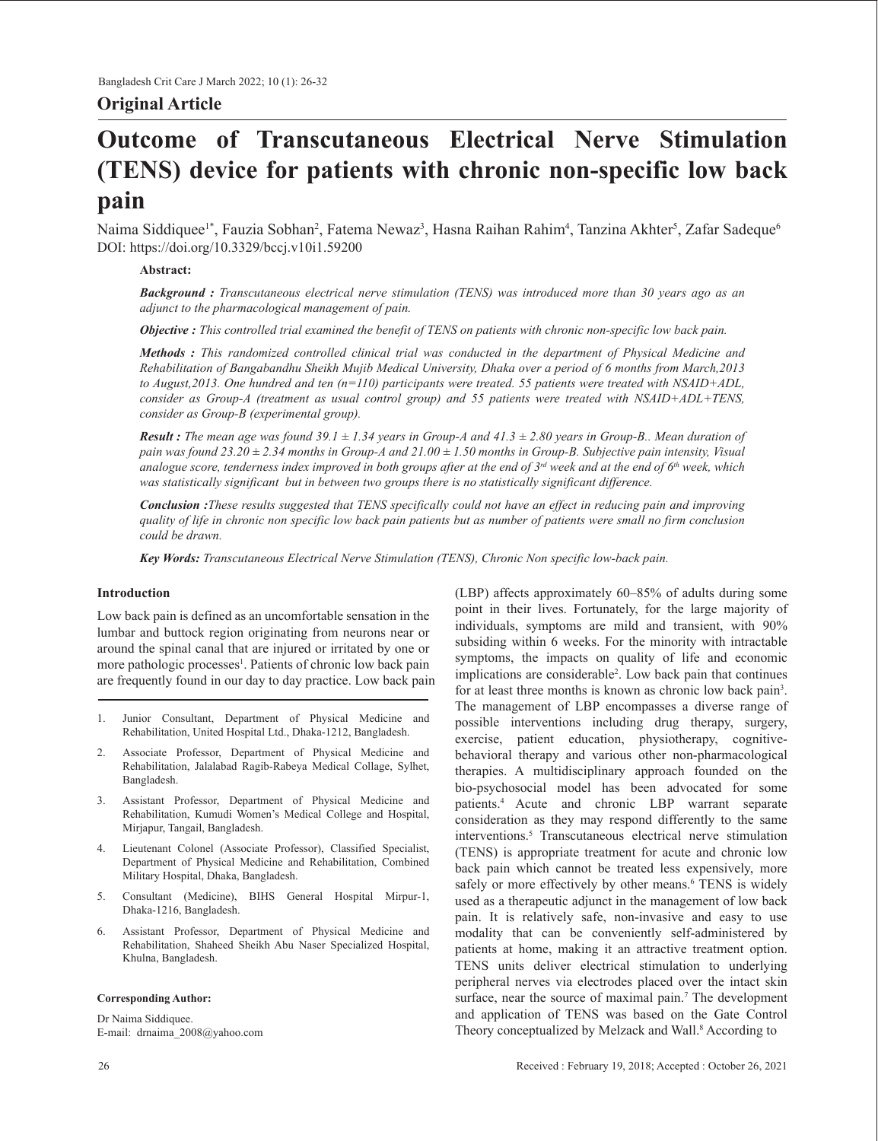# **Original Article**

# **Outcome of Transcutaneous Electrical Nerve Stimulation (TENS) device for patients with chronic non-specific low back pain**

Naima Siddiquee<sup>1\*</sup>, Fauzia Sobhan<sup>2</sup>, Fatema Newaz<sup>3</sup>, Hasna Raihan Rahim<sup>4</sup>, Tanzina Akhter<sup>5</sup>, Zafar Sadeque<sup>6</sup> DOI: https://doi.org/10.3329/bccj.v10i1.59200

## **Abstract:**

*Background : Transcutaneous electrical nerve stimulation (TENS) was introduced more than 30 years ago as an adjunct to the pharmacological management of pain.*

*Objective : This controlled trial examined the benefit of TENS on patients with chronic non-specific low back pain.*

*Methods : This randomized controlled clinical trial was conducted in the department of Physical Medicine and Rehabilitation of Bangabandhu Sheikh Mujib Medical University, Dhaka over a period of 6 months from March,2013 to August,2013. One hundred and ten (n=110) participants were treated. 55 patients were treated with NSAID+ADL, consider as Group-A (treatment as usual control group) and 55 patients were treated with NSAID+ADL+TENS, consider as Group-B (experimental group).*

*Result : The mean age was found 39.1 ± 1.34 years in Group-A and 41.3 ± 2.80 years in Group-B.. Mean duration of pain was found 23.20 ± 2.34 months in Group-A and 21.00 ± 1.50 months in Group-B. Subjective pain intensity, Visual analogue score, tenderness index improved in both groups after at the end of*  $3^{rd}$  *week and at the end of*  $6^{th}$  *week, which was statistically significant but in between two groups there is no statistically significant difference.*

*Conclusion :These results suggested that TENS specifically could not have an effect in reducing pain and improving quality of life in chronic non specific low back pain patients but as number of patients were small no firm conclusion could be drawn.*

*Key Words: Transcutaneous Electrical Nerve Stimulation (TENS), Chronic Non specific low-back pain.*

### **Introduction**

Low back pain is defined as an uncomfortable sensation in the lumbar and buttock region originating from neurons near or around the spinal canal that are injured or irritated by one or more pathologic processes<sup>1</sup>. Patients of chronic low back pain are frequently found in our day to day practice. Low back pain

- 1. Junior Consultant, Department of Physical Medicine and Rehabilitation, United Hospital Ltd., Dhaka-1212, Bangladesh.
- 2. Associate Professor, Department of Physical Medicine and Rehabilitation, Jalalabad Ragib-Rabeya Medical Collage, Sylhet, Bangladesh.
- 3. Assistant Professor, Department of Physical Medicine and Rehabilitation, Kumudi Women's Medical College and Hospital, Mirjapur, Tangail, Bangladesh.
- 4. Lieutenant Colonel (Associate Professor), Classified Specialist, Department of Physical Medicine and Rehabilitation, Combined Military Hospital, Dhaka, Bangladesh.
- 5. Consultant (Medicine), BIHS General Hospital Mirpur-1, Dhaka-1216, Bangladesh.
- 6. Assistant Professor, Department of Physical Medicine and Rehabilitation, Shaheed Sheikh Abu Naser Specialized Hospital, Khulna, Bangladesh.

#### **Corresponding Author:**

Dr Naima Siddiquee. E-mail: drnaima\_2008@yahoo.com (LBP) affects approximately 60–85% of adults during some point in their lives. Fortunately, for the large majority of individuals, symptoms are mild and transient, with 90% subsiding within 6 weeks. For the minority with intractable symptoms, the impacts on quality of life and economic implications are considerable<sup>2</sup>. Low back pain that continues for at least three months is known as chronic low back pain<sup>3</sup>. The management of LBP encompasses a diverse range of possible interventions including drug therapy, surgery, exercise, patient education, physiotherapy, cognitivebehavioral therapy and various other non-pharmacological therapies. A multidisciplinary approach founded on the bio-psychosocial model has been advocated for some patients.4 Acute and chronic LBP warrant separate consideration as they may respond differently to the same interventions.5 Transcutaneous electrical nerve stimulation (TENS) is appropriate treatment for acute and chronic low back pain which cannot be treated less expensively, more safely or more effectively by other means.<sup>6</sup> TENS is widely used as a therapeutic adjunct in the management of low back pain. It is relatively safe, non-invasive and easy to use modality that can be conveniently self-administered by patients at home, making it an attractive treatment option. TENS units deliver electrical stimulation to underlying peripheral nerves via electrodes placed over the intact skin surface, near the source of maximal pain.<sup>7</sup> The development and application of TENS was based on the Gate Control Theory conceptualized by Melzack and Wall.<sup>8</sup> According to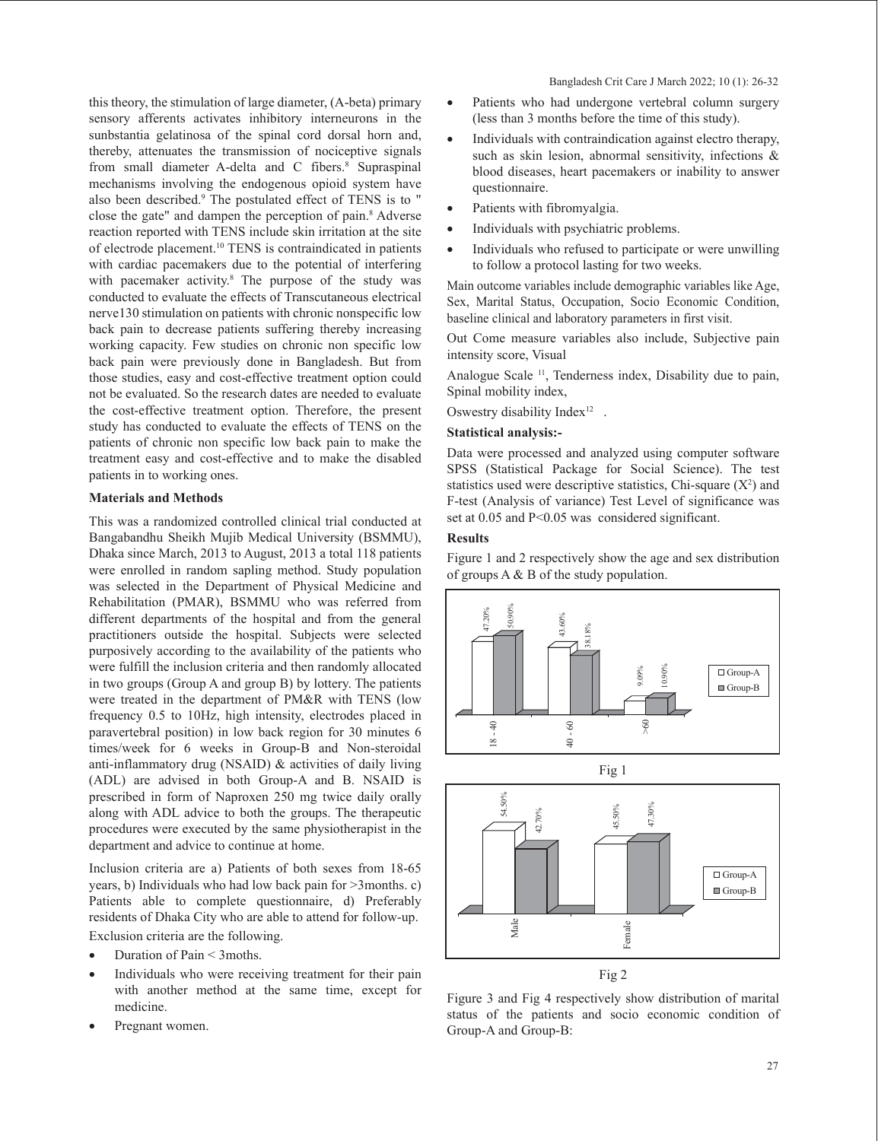this theory, the stimulation of large diameter, (A-beta) primary sensory afferents activates inhibitory interneurons in the sunbstantia gelatinosa of the spinal cord dorsal horn and, thereby, attenuates the transmission of nociceptive signals from small diameter A-delta and C fibers.<sup>8</sup> Supraspinal mechanisms involving the endogenous opioid system have also been described.9 The postulated effect of TENS is to " close the gate" and dampen the perception of pain.<sup>8</sup> Adverse reaction reported with TENS include skin irritation at the site of electrode placement.<sup>10</sup> TENS is contraindicated in patients with cardiac pacemakers due to the potential of interfering with pacemaker activity.8 The purpose of the study was conducted to evaluate the effects of Transcutaneous electrical nerve130 stimulation on patients with chronic nonspecific low back pain to decrease patients suffering thereby increasing working capacity. Few studies on chronic non specific low back pain were previously done in Bangladesh. But from those studies, easy and cost-effective treatment option could not be evaluated. So the research dates are needed to evaluate the cost-effective treatment option. Therefore, the present study has conducted to evaluate the effects of TENS on the patients of chronic non specific low back pain to make the treatment easy and cost-effective and to make the disabled patients in to working ones.

#### **Materials and Methods**

This was a randomized controlled clinical trial conducted at Bangabandhu Sheikh Mujib Medical University (BSMMU), Dhaka since March, 2013 to August, 2013 a total 118 patients were enrolled in random sapling method. Study population was selected in the Department of Physical Medicine and Rehabilitation (PMAR), BSMMU who was referred from different departments of the hospital and from the general practitioners outside the hospital. Subjects were selected purposively according to the availability of the patients who were fulfill the inclusion criteria and then randomly allocated in two groups (Group A and group B) by lottery. The patients were treated in the department of PM&R with TENS (low frequency 0.5 to 10Hz, high intensity, electrodes placed in paravertebral position) in low back region for 30 minutes 6 times/week for 6 weeks in Group-B and Non-steroidal anti-inflammatory drug (NSAID) & activities of daily living (ADL) are advised in both Group-A and B. NSAID is prescribed in form of Naproxen 250 mg twice daily orally along with ADL advice to both the groups. The therapeutic procedures were executed by the same physiotherapist in the department and advice to continue at home.

Inclusion criteria are a) Patients of both sexes from 18-65 years, b) Individuals who had low back pain for >3months. c) Patients able to complete questionnaire, d) Preferably residents of Dhaka City who are able to attend for follow-up. Exclusion criteria are the following.

- Duration of Pain < 3 moths.
- Individuals who were receiving treatment for their pain with another method at the same time, except for medicine.
- Pregnant women.
- Patients who had undergone vertebral column surgery (less than 3 months before the time of this study).
- Individuals with contraindication against electro therapy, such as skin lesion, abnormal sensitivity, infections & blood diseases, heart pacemakers or inability to answer questionnaire.
- Patients with fibromyalgia.
- Individuals with psychiatric problems.
- Individuals who refused to participate or were unwilling to follow a protocol lasting for two weeks.

Main outcome variables include demographic variables like Age, Sex, Marital Status, Occupation, Socio Economic Condition, baseline clinical and laboratory parameters in first visit.

Out Come measure variables also include, Subjective pain intensity score, Visual

Analogue Scale 11, Tenderness index, Disability due to pain, Spinal mobility index,

Oswestry disability Index<sup>12</sup> .

#### **Statistical analysis:-**

Data were processed and analyzed using computer software SPSS (Statistical Package for Social Science). The test statistics used were descriptive statistics, Chi-square  $(X^2)$  and F-test (Analysis of variance) Test Level of significance was set at 0.05 and P<0.05 was considered significant.

#### **Results**

Figure 1 and 2 respectively show the age and sex distribution of groups A & B of the study population.







Figure 3 and Fig 4 respectively show distribution of marital status of the patients and socio economic condition of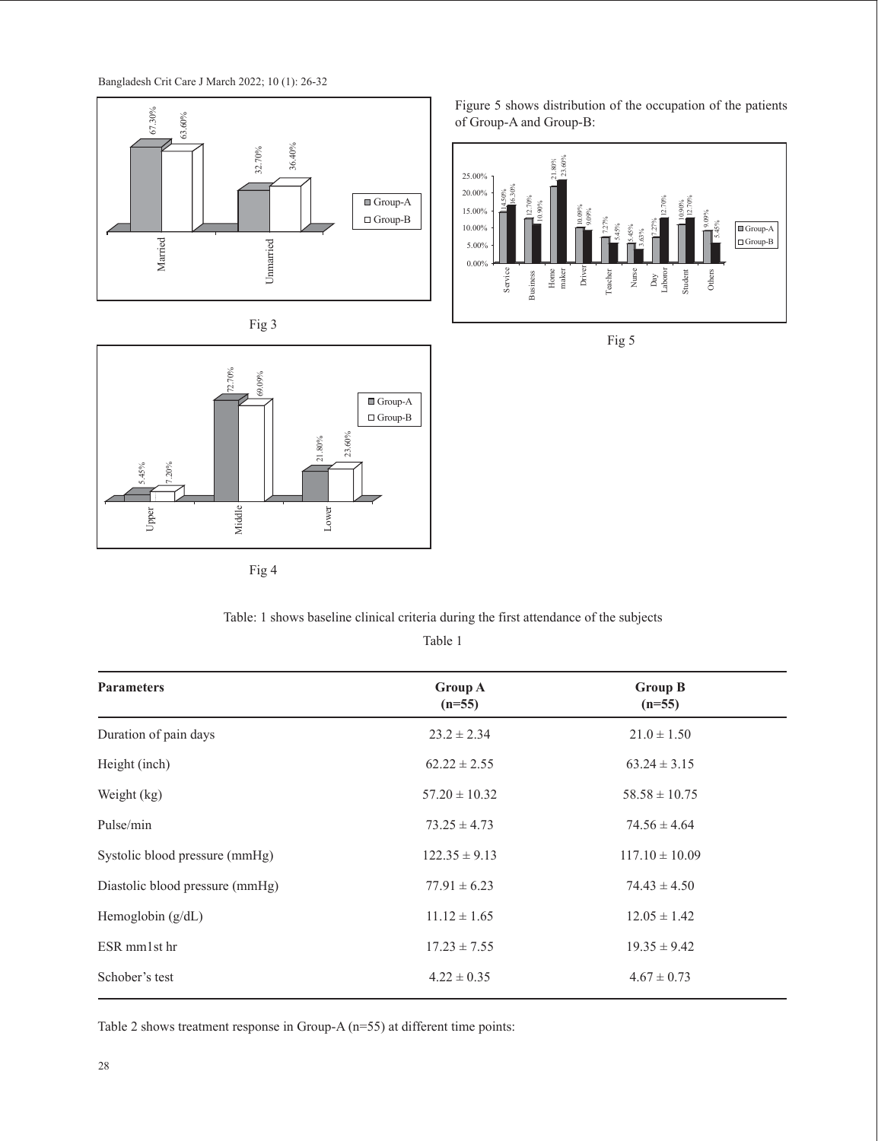







Figure 5 shows distribution of the occupation of the patients of Group-A and Group-B:





## Table: 1 shows baseline clinical criteria during the first attendance of the subjects

| 63.60%<br>36.40%<br>32.70%<br>Married<br>Unnarried<br>Fig 3<br>72.70%<br>69.09%<br>23.60%<br>21.80%<br>$7.20\%$<br>$5.45\%$<br>Middle<br>Lower<br>Upper | 25.00%<br>20.00%<br>12.70%<br>$\blacksquare$ Group-A<br>$10.90\%$<br>15.00%<br>$\Box$ Group-B<br>$10.00\%$<br>5.00%<br>$0.00\%$<br>Service<br>Business<br>$\blacksquare$ Group-A<br>$\Box$ Group-B | of Group-A and Group-B:<br>$21.80\%$<br>$23.60\%$<br>12.70%<br>10.90%<br>12.70%<br>10.09%<br>$9.09\%$<br>7.27%<br>7.27%<br>$5.45\%$<br>$\blacksquare$ Group-A<br>5.45%<br>.63%<br>$\Box$ Group-B<br>Driver<br>$\begin{array}{c} \text{Home} \\ \text{maker} \end{array}$<br>$_{\rm Nurse}$<br>Day<br>Laboror<br>Student<br>Teacher<br>Others<br>Fig 5 |
|---------------------------------------------------------------------------------------------------------------------------------------------------------|----------------------------------------------------------------------------------------------------------------------------------------------------------------------------------------------------|-------------------------------------------------------------------------------------------------------------------------------------------------------------------------------------------------------------------------------------------------------------------------------------------------------------------------------------------------------|
|                                                                                                                                                         |                                                                                                                                                                                                    |                                                                                                                                                                                                                                                                                                                                                       |
| Fig 4                                                                                                                                                   | Table: 1 shows baseline clinical criteria during the first attendance of the subjects<br>Table 1                                                                                                   |                                                                                                                                                                                                                                                                                                                                                       |
| <b>Parameters</b>                                                                                                                                       | <b>Group A</b><br>$(n=55)$                                                                                                                                                                         | <b>Group B</b><br>$(n=55)$                                                                                                                                                                                                                                                                                                                            |
| Duration of pain days                                                                                                                                   | $23.2 \pm 2.34$                                                                                                                                                                                    | $21.0 \pm 1.50$                                                                                                                                                                                                                                                                                                                                       |
| Height (inch)                                                                                                                                           | $62.22 \pm 2.55$                                                                                                                                                                                   | $63.24 \pm 3.15$                                                                                                                                                                                                                                                                                                                                      |
| Weight (kg)                                                                                                                                             | $57.20 \pm 10.32$                                                                                                                                                                                  | $58.58 \pm 10.75$                                                                                                                                                                                                                                                                                                                                     |
| Pulse/min                                                                                                                                               | $73.25 \pm 4.73$                                                                                                                                                                                   | $74.56 \pm 4.64$                                                                                                                                                                                                                                                                                                                                      |
| Systolic blood pressure (mmHg)                                                                                                                          | $122.35 \pm 9.13$                                                                                                                                                                                  | $117.10 \pm 10.09$                                                                                                                                                                                                                                                                                                                                    |
| Diastolic blood pressure (mmHg)                                                                                                                         | $77.91 \pm 6.23$                                                                                                                                                                                   | $74.43 \pm 4.50$                                                                                                                                                                                                                                                                                                                                      |
| Hemoglobin (g/dL)                                                                                                                                       | $11.12\pm1.65$                                                                                                                                                                                     | $12.05 \pm 1.42$                                                                                                                                                                                                                                                                                                                                      |
| ESR mm1st hr                                                                                                                                            | $17.23\pm7.55$                                                                                                                                                                                     | $19.35 \pm 9.42$                                                                                                                                                                                                                                                                                                                                      |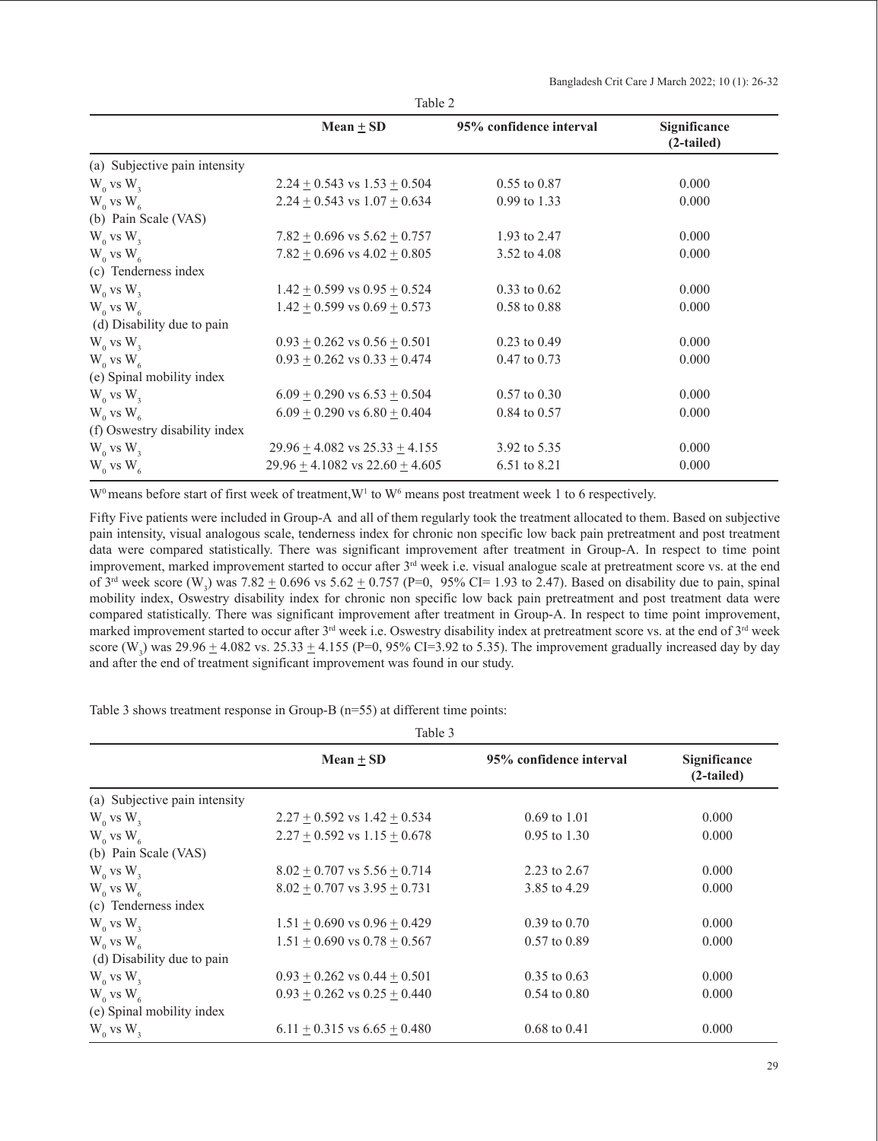Bangladesh Crit Care J March 2022; 10 (1): 26-32

|                               | Mean $\pm$ SD                          | 95% confidence interval | <b>Significance</b><br>$(2-tailed)$ |
|-------------------------------|----------------------------------------|-------------------------|-------------------------------------|
| (a) Subjective pain intensity |                                        |                         |                                     |
| $W_0$ vs $W_3$                | $2.24 + 0.543$ vs $1.53 + 0.504$       | $0.55$ to $0.87$        | 0.000                               |
| $W_0$ vs $W_6$                | $2.24 + 0.543$ vs $1.07 + 0.634$       | $0.99$ to 1.33          | 0.000                               |
| (b) Pain Scale (VAS)          |                                        |                         |                                     |
| $W_0$ vs $W_3$                | $7.82 \pm 0.696$ vs $5.62 \pm 0.757$   | 1.93 to 2.47            | 0.000                               |
| $W_0$ vs $W_6$                | $7.82 \pm 0.696$ vs $4.02 \pm 0.805$   | 3.52 to 4.08            | 0.000                               |
| (c) Tenderness index          |                                        |                         |                                     |
| $W_0$ vs $W_3$                | $1.42 \pm 0.599$ vs $0.95 \pm 0.524$   | $0.33$ to $0.62$        | 0.000                               |
| $W_0$ vs $W_6$                | $1.42 + 0.599$ vs $0.69 + 0.573$       | $0.58$ to $0.88$        | 0.000                               |
| (d) Disability due to pain    |                                        |                         |                                     |
| $W_0$ vs $W_3$                | $0.93 \pm 0.262$ vs $0.56 \pm 0.501$   | $0.23$ to $0.49$        | 0.000                               |
| $W_0$ vs $W_6$                | $0.93 \pm 0.262$ vs $0.33 \pm 0.474$   | $0.47$ to $0.73$        | 0.000                               |
| (e) Spinal mobility index     |                                        |                         |                                     |
| $W_0$ vs $W_3$                | $6.09 + 0.290$ vs $6.53 + 0.504$       | $0.57$ to $0.30$        | 0.000                               |
| $W_0$ vs $W_6$                | $6.09 + 0.290$ vs $6.80 + 0.404$       | $0.84$ to $0.57$        | 0.000                               |
| (f) Oswestry disability index |                                        |                         |                                     |
| $W_0$ vs $W_3$                | $29.96 \pm 4.082$ vs $25.33 \pm 4.155$ | 3.92 to 5.35            | 0.000                               |
| $W_0$ vs $W_6$                | $29.96 + 4.1082$ vs $22.60 + 4.605$    | 6.51 to 8.21            | 0.000                               |

Table 2

 $W^0$  means before start of first week of treatment,  $W^1$  to  $W^6$  means post treatment week 1 to 6 respectively.

Fifty Five patients were included in Group-A and all of them regularly took the treatment allocated to them. Based on subjective pain intensity, visual analogous scale, tenderness index for chronic non specific low back pain pretreatment and post treatment data were compared statistically. There was significant improvement after treatment in Group-A. In respect to time point improvement, marked improvement started to occur after 3<sup>rd</sup> week i.e. visual analogue scale at pretreatment score vs. at the end of 3<sup>rd</sup> week score (W<sub>3</sub>) was 7.82  $\pm$  0.696 vs 5.62  $\pm$  0.757 (P=0, 95% CI= 1.93 to 2.47). Based on disability due to pain, spinal mobility index, Oswestry disability index for chronic non specific low back pain pretreatment and post treatment data were compared statistically. There was significant improvement after treatment in Group-A. In respect to time point improvement, marked improvement started to occur after 3rd week i.e. Oswestry disability index at pretreatment score vs. at the end of 3rd week score (W<sub>3</sub>) was 29.96  $\pm$  4.082 vs. 25.33  $\pm$  4.155 (P=0, 95% CI=3.92 to 5.35). The improvement gradually increased day by day and after the end of treatment significant improvement was found in our study.

 $T<sub>11</sub>$ 

Table 3 shows treatment response in Group-B (n=55) at different time points:

| rable 5                       |                                      |                         |                              |
|-------------------------------|--------------------------------------|-------------------------|------------------------------|
|                               | Mean $\pm$ SD                        | 95% confidence interval | Significance<br>$(2-tailed)$ |
| (a) Subjective pain intensity |                                      |                         |                              |
| $W_0$ vs $W_3$                | $2.27 + 0.592$ vs $1.42 + 0.534$     | $0.69$ to $1.01$        | 0.000                        |
| $W_0$ vs $W_6$                | $2.27 + 0.592$ vs $1.15 + 0.678$     | $0.95$ to $1.30$        | 0.000                        |
| (b) Pain Scale (VAS)          |                                      |                         |                              |
| $W_0$ vs $W_3$                | $8.02 + 0.707$ vs $5.56 + 0.714$     | 2.23 to 2.67            | 0.000                        |
| $W_0$ vs $W_6$                | $8.02 + 0.707$ vs $3.95 + 0.731$     | 3.85 to 4.29            | 0.000                        |
| (c) Tenderness index          |                                      |                         |                              |
| $W_0$ vs $W_3$                | $1.51 + 0.690$ vs $0.96 + 0.429$     | $0.39$ to $0.70$        | 0.000                        |
| $W_0$ vs $W_6$                | $1.51 + 0.690$ vs $0.78 + 0.567$     | $0.57$ to $0.89$        | 0.000                        |
| (d) Disability due to pain    |                                      |                         |                              |
| $W_0$ vs $W_3$                | $0.93 + 0.262$ vs $0.44 + 0.501$     | $0.35$ to $0.63$        | 0.000                        |
| $W_0$ vs $W_6$                | $0.93 + 0.262$ vs $0.25 + 0.440$     | $0.54 \text{ to } 0.80$ | 0.000                        |
| (e) Spinal mobility index     |                                      |                         |                              |
| $W_0$ vs $W_3$                | $6.11 \pm 0.315$ vs $6.65 \pm 0.480$ | $0.68$ to $0.41$        | 0.000                        |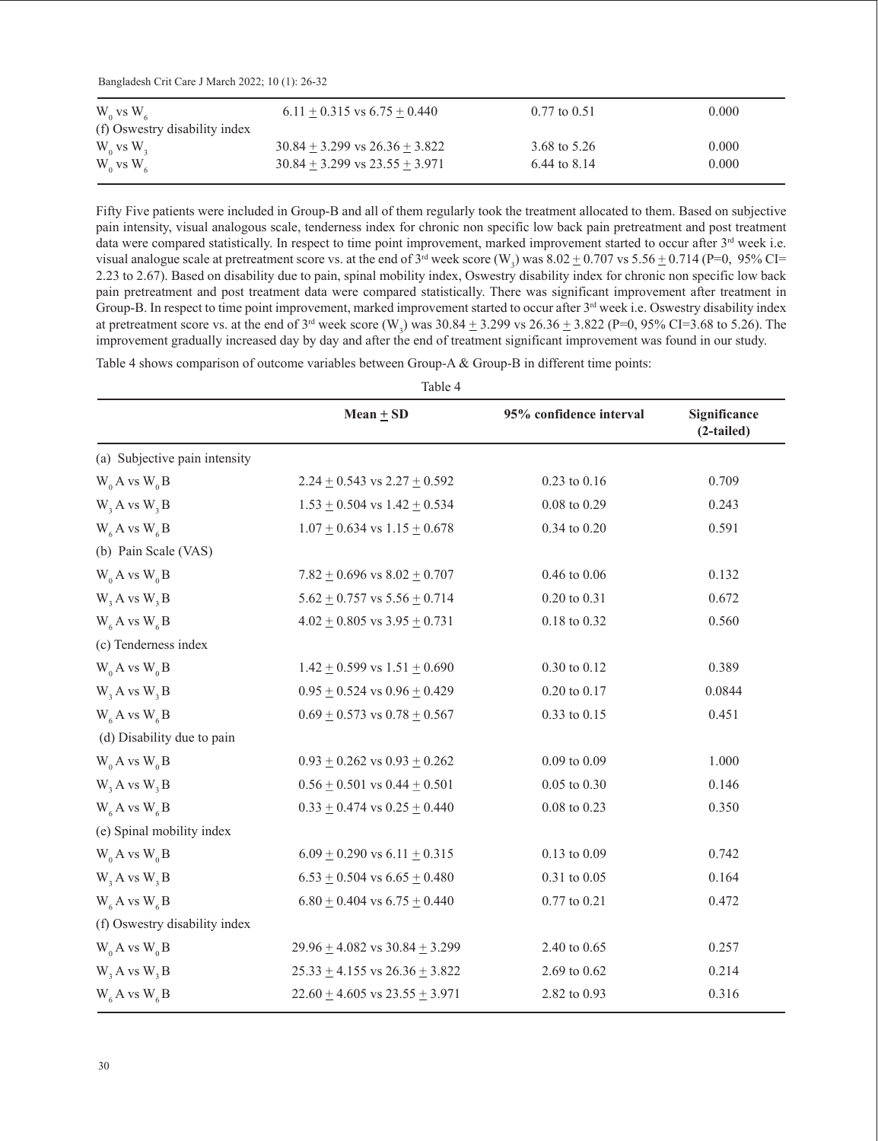Bangladesh Crit Care J March 2022; 10 (1): 26-32

| $6.11 + 0.315$ vs $6.75 + 0.440$   | $0.77$ to $0.51$ | 0.000 |
|------------------------------------|------------------|-------|
|                                    |                  |       |
| $30.84 + 3.299$ vs $26.36 + 3.822$ | 3.68 to 5.26     | 0.000 |
| $30.84 + 3.299$ vs $23.55 + 3.971$ | 6.44 to 8.14     | 0.000 |
|                                    |                  |       |

Fifty Five patients were included in Group-B and all of them regularly took the treatment allocated to them. Based on subjective pain intensity, visual analogous scale, tenderness index for chronic non specific low back pain pretreatment and post treatment data were compared statistically. In respect to time point improvement, marked improvement started to occur after 3<sup>rd</sup> week i.e. visual analogue scale at pretreatment score vs. at the end of 3<sup>rd</sup> week score (W<sub>3</sub>) was  $8.02 \pm 0.707$  vs  $5.56 \pm 0.714$  (P=0, 95% CI= 2.23 to 2.67). Based on disability due to pain, spinal mobility index, Oswestry disability index for chronic non specific low back pain pretreatment and post treatment data were compared statistically. There was significant improvement after treatment in Group-B. In respect to time point improvement, marked improvement started to occur after  $3<sup>rd</sup>$  week i.e. Oswestry disability index at pretreatment score vs. at the end of 3<sup>rd</sup> week score (W<sub>3</sub>) was  $30.84 \pm 3.299$  vs  $26.36 \pm 3.822$  (P=0, 95% CI=3.68 to 5.26). The improvement gradually increased day by day and after the end of treatment significant improvement was found in our study.

 $T = 11 - 4$ 

Table 4 shows comparison of outcome variables between Group-A & Group-B in different time points:

| rable 4                                  |                                        |                         |                              |
|------------------------------------------|----------------------------------------|-------------------------|------------------------------|
|                                          | Mean $\pm$ SD                          | 95% confidence interval | Significance<br>$(2-tailed)$ |
| (a) Subjective pain intensity            |                                        |                         |                              |
| $W_0 A$ vs $W_0 B$                       | $2.24 \pm 0.543$ vs $2.27 \pm 0.592$   | $0.23$ to $0.16$        | 0.709                        |
| $W$ , A vs $W$ , B                       | $1.53 \pm 0.504$ vs $1.42 \pm 0.534$   | $0.08$ to $0.29\,$      | 0.243                        |
| $W_6A$ vs $W_6B$                         | $1.07 \pm 0.634$ vs $1.15 \pm 0.678$   | $0.34$ to $0.20$        | 0.591                        |
| (b) Pain Scale (VAS)                     |                                        |                         |                              |
| $W_0 A vs W_0 B$                         | $7.82 \pm 0.696$ vs $8.02 \pm 0.707$   | $0.46$ to $0.06$        | 0.132                        |
| $W$ <sub>3</sub> A vs $W$ <sub>3</sub> B | $5.62 \pm 0.757$ vs $5.56 \pm 0.714$   | 0.20 to 0.31            | 0.672                        |
| $W_6A$ vs $W_6B$                         | $4.02 \pm 0.805$ vs $3.95 \pm 0.731$   | $0.18$ to $0.32$        | 0.560                        |
| (c) Tenderness index                     |                                        |                         |                              |
| $W_0 A$ vs $W_0 B$                       | $1.42 \pm 0.599$ vs $1.51 \pm 0.690$   | $0.30$ to $0.12\,$      | 0.389                        |
| $W$ <sub>3</sub> A vs $W$ <sub>3</sub> B | $0.95 \pm 0.524$ vs $0.96 \pm 0.429$   | $0.20$ to $0.17$        | 0.0844                       |
| $W_6A$ vs $W_6B$                         | $0.69 \pm 0.573$ vs $0.78 \pm 0.567$   | $0.33$ to $0.15$        | 0.451                        |
| (d) Disability due to pain               |                                        |                         |                              |
| $W_0 A$ vs $W_0 B$                       | $0.93 \pm 0.262$ vs $0.93 \pm 0.262$   | $0.09$ to $0.09$        | 1.000                        |
| $W$ <sub>3</sub> A vs $W$ <sub>3</sub> B | $0.56 \pm 0.501$ vs $0.44 \pm 0.501$   | $0.05$ to $0.30\,$      | 0.146                        |
| $W_6A$ vs $W_6B$                         | $0.33 \pm 0.474$ vs $0.25 \pm 0.440$   | $0.08$ to $0.23$        | 0.350                        |
| (e) Spinal mobility index                |                                        |                         |                              |
| $W_0 A vs W_0 B$                         | $6.09 \pm 0.290$ vs $6.11 \pm 0.315$   | $0.13$ to $0.09$        | 0.742                        |
| $W$ , A vs $W$ , B                       | $6.53 \pm 0.504$ vs $6.65 \pm 0.480$   | $0.31$ to $0.05$        | 0.164                        |
| $W_6A$ vs $W_6B$                         | $6.80 \pm 0.404$ vs $6.75 \pm 0.440$   | $0.77$ to $0.21$        | 0.472                        |
| (f) Oswestry disability index            |                                        |                         |                              |
| $W_0 A vs W_0 B$                         | $29.96 \pm 4.082$ vs $30.84 \pm 3.299$ | 2.40 to 0.65            | 0.257                        |
| $W$ <sub>3</sub> A vs $W$ <sub>3</sub> B | $25.33 \pm 4.155$ vs $26.36 \pm 3.822$ | 2.69 to 0.62            | 0.214                        |
| $W_6A$ vs $W_6B$                         | $22.60 \pm 4.605$ vs $23.55 \pm 3.971$ | 2.82 to 0.93            | 0.316                        |
|                                          |                                        |                         |                              |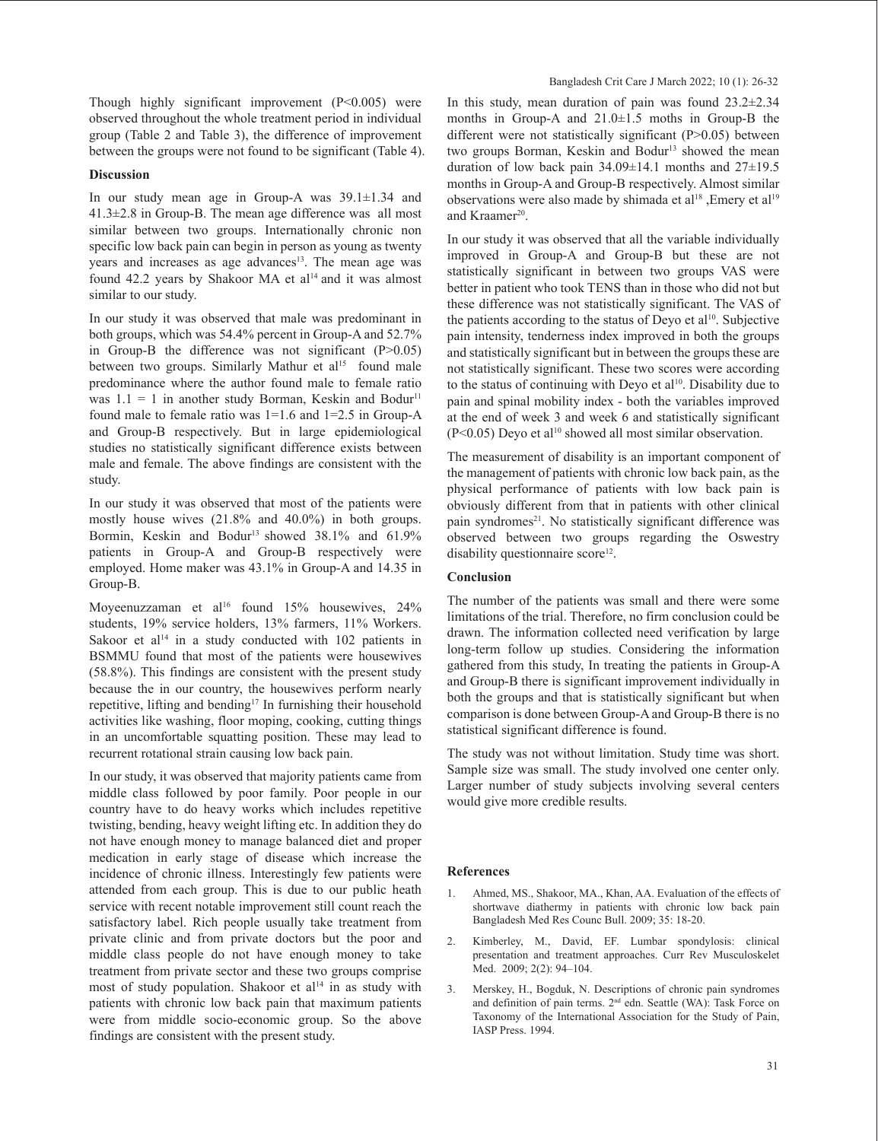Though highly significant improvement (P<0.005) were observed throughout the whole treatment period in individual group (Table 2 and Table 3), the difference of improvement between the groups were not found to be significant (Table 4).

#### **Discussion**

In our study mean age in Group-A was 39.1±1.34 and 41.3±2.8 in Group-B. The mean age difference was all most similar between two groups. Internationally chronic non specific low back pain can begin in person as young as twenty years and increases as age advances<sup>13</sup>. The mean age was found 42.2 years by Shakoor MA et  $al<sup>14</sup>$  and it was almost similar to our study.

In our study it was observed that male was predominant in both groups, which was 54.4% percent in Group-A and 52.7% in Group-B the difference was not significant  $(P>0.05)$ between two groups. Similarly Mathur et al<sup>15</sup> found male predominance where the author found male to female ratio was  $1.1 = 1$  in another study Borman, Keskin and Bodur<sup>11</sup> found male to female ratio was  $1=1.6$  and  $1=2.5$  in Group-A and Group-B respectively. But in large epidemiological studies no statistically significant difference exists between male and female. The above findings are consistent with the study.

In our study it was observed that most of the patients were mostly house wives (21.8% and 40.0%) in both groups. Bormin, Keskin and Bodur<sup>13</sup> showed 38.1% and 61.9% patients in Group-A and Group-B respectively were employed. Home maker was 43.1% in Group-A and 14.35 in Group-B.

Moyeenuzzaman et al<sup>16</sup> found 15% housewives, 24% students, 19% service holders, 13% farmers, 11% Workers. Sakoor et al<sup>14</sup> in a study conducted with 102 patients in BSMMU found that most of the patients were housewives (58.8%). This findings are consistent with the present study because the in our country, the housewives perform nearly repetitive, lifting and bending<sup>17</sup> In furnishing their household activities like washing, floor moping, cooking, cutting things in an uncomfortable squatting position. These may lead to recurrent rotational strain causing low back pain.

In our study, it was observed that majority patients came from middle class followed by poor family. Poor people in our country have to do heavy works which includes repetitive twisting, bending, heavy weight lifting etc. In addition they do not have enough money to manage balanced diet and proper medication in early stage of disease which increase the incidence of chronic illness. Interestingly few patients were attended from each group. This is due to our public heath service with recent notable improvement still count reach the satisfactory label. Rich people usually take treatment from private clinic and from private doctors but the poor and middle class people do not have enough money to take treatment from private sector and these two groups comprise most of study population. Shakoor et al<sup>14</sup> in as study with patients with chronic low back pain that maximum patients were from middle socio-economic group. So the above findings are consistent with the present study.

In this study, mean duration of pain was found  $23.2\pm2.34$ months in Group-A and 21.0±1.5 moths in Group-B the different were not statistically significant (P>0.05) between two groups Borman, Keskin and Bodur<sup>13</sup> showed the mean duration of low back pain  $34.09 \pm 14.1$  months and  $27 \pm 19.5$ months in Group-A and Group-B respectively. Almost similar observations were also made by shimada et al<sup>18</sup>, Emery et al<sup>19</sup> and Kraamer<sup>20</sup>.

In our study it was observed that all the variable individually improved in Group-A and Group-B but these are not statistically significant in between two groups VAS were better in patient who took TENS than in those who did not but these difference was not statistically significant. The VAS of the patients according to the status of Deyo et al<sup>10</sup>. Subjective pain intensity, tenderness index improved in both the groups and statistically significant but in between the groups these are not statistically significant. These two scores were according to the status of continuing with Deyo et al<sup>10</sup>. Disability due to pain and spinal mobility index - both the variables improved at the end of week 3 and week 6 and statistically significant  $(P<0.05)$  Deyo et al<sup>10</sup> showed all most similar observation.

The measurement of disability is an important component of the management of patients with chronic low back pain, as the physical performance of patients with low back pain is obviously different from that in patients with other clinical pain syndromes<sup>21</sup>. No statistically significant difference was observed between two groups regarding the Oswestry disability questionnaire score<sup>12</sup>.

#### **Conclusion**

The number of the patients was small and there were some limitations of the trial. Therefore, no firm conclusion could be drawn. The information collected need verification by large long-term follow up studies. Considering the information gathered from this study, In treating the patients in Group-A and Group-B there is significant improvement individually in both the groups and that is statistically significant but when comparison is done between Group-A and Group-B there is no statistical significant difference is found.

The study was not without limitation. Study time was short. Sample size was small. The study involved one center only. Larger number of study subjects involving several centers would give more credible results.

#### **References**

- 1. Ahmed, MS., Shakoor, MA., Khan, AA. Evaluation of the effects of shortwave diathermy in patients with chronic low back pain Bangladesh Med Res Counc Bull. 2009; 35: 18-20.
- 2. Kimberley, M., David, EF. Lumbar spondylosis: clinical presentation and treatment approaches. Curr Rev Musculoskelet Med. 2009; 2(2): 94–104.
- 3. Merskey, H., Bogduk, N. Descriptions of chronic pain syndromes and definition of pain terms. 2<sup>nd</sup> edn. Seattle (WA): Task Force on Taxonomy of the International Association for the Study of Pain, IASP Press. 1994.